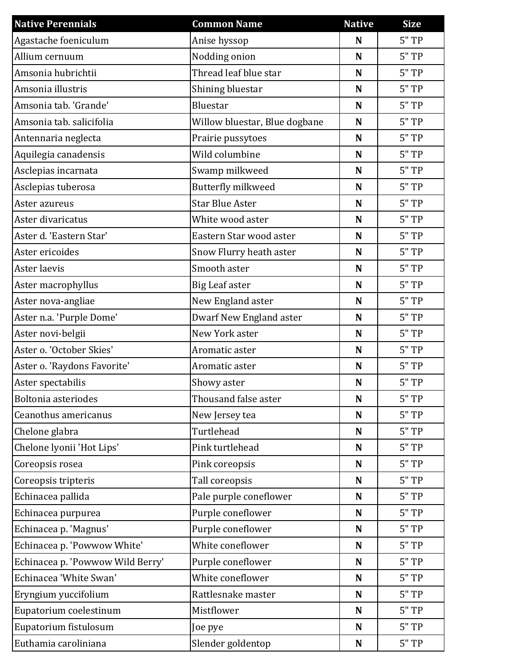| <b>Native Perennials</b>         | <b>Common Name</b>            | <b>Native</b> | <b>Size</b> |
|----------------------------------|-------------------------------|---------------|-------------|
| Agastache foeniculum             | Anise hyssop                  | N             | 5"TP        |
| Allium cernuum                   | Nodding onion                 | N             | 5"TP        |
| Amsonia hubrichtii               | Thread leaf blue star         | N             | $5"$ TP     |
| Amsonia illustris                | Shining bluestar              | N             | $5"$ TP     |
| Amsonia tab. 'Grande'            | Bluestar                      | N             | $5"$ TP     |
| Amsonia tab. salicifolia         | Willow bluestar, Blue dogbane | N             | 5"TP        |
| Antennaria neglecta              | Prairie pussytoes             | $\mathbf N$   | $5"$ TP     |
| Aquilegia canadensis             | Wild columbine                | $\mathbf N$   | $5"$ TP     |
| Asclepias incarnata              | Swamp milkweed                | N             | $5"$ TP     |
| Asclepias tuberosa               | Butterfly milkweed            | N             | 5"TP        |
| Aster azureus                    | <b>Star Blue Aster</b>        | N             | $5"$ TP     |
| Aster divaricatus                | White wood aster              | N             | $5"$ TP     |
| Aster d. 'Eastern Star'          | Eastern Star wood aster       | N             | $5"$ TP     |
| Aster ericoides                  | Snow Flurry heath aster       | N             | $5"$ TP     |
| Aster laevis                     | Smooth aster                  | N             | $5"$ TP     |
| Aster macrophyllus               | <b>Big Leaf aster</b>         | $\mathbf N$   | $5"$ TP     |
| Aster nova-angliae               | New England aster             | N             | $5"$ TP     |
| Aster n.a. 'Purple Dome'         | Dwarf New England aster       | N             | $5"$ TP     |
| Aster novi-belgii                | New York aster                | N             | $5"$ TP     |
| Aster o. 'October Skies'         | Aromatic aster                | N             | $5"$ TP     |
| Aster o. 'Raydons Favorite'      | Aromatic aster                | N             | $5"$ TP     |
| Aster spectabilis                | Showy aster                   | N             | 5"TP        |
| Boltonia asteriodes              | Thousand false aster          | N             | $5"$ TP     |
| Ceanothus americanus             | New Jersey tea                | N             | 5"TP        |
| Chelone glabra                   | Turtlehead                    | N             | 5"TP        |
| Chelone lyonii 'Hot Lips'        | Pink turtlehead               | N             | 5"TP        |
| Coreopsis rosea                  | Pink coreopsis                | $\mathbf N$   | 5"TP        |
| Coreopsis tripteris              | Tall coreopsis                | N             | 5"TP        |
| Echinacea pallida                | Pale purple coneflower        | N             | 5"TP        |
| Echinacea purpurea               | Purple coneflower             | N             | $5"$ TP     |
| Echinacea p. 'Magnus'            | Purple coneflower             | N             | $5"$ TP     |
| Echinacea p. 'Powwow White'      | White coneflower              | $\mathbf N$   | $5"$ TP     |
| Echinacea p. 'Powwow Wild Berry' | Purple coneflower             | N             | 5"TP        |
| Echinacea 'White Swan'           | White coneflower              | N             | 5"TP        |
| Eryngium yuccifolium             | Rattlesnake master            | N             | $5"$ TP     |
| Eupatorium coelestinum           | Mistflower                    | N             | $5"$ TP     |
| Eupatorium fistulosum            | Joe pye                       | $\mathbf N$   | $5"$ TP     |
| Euthamia caroliniana             | Slender goldentop             | $\mathbf N$   | $5"$ TP     |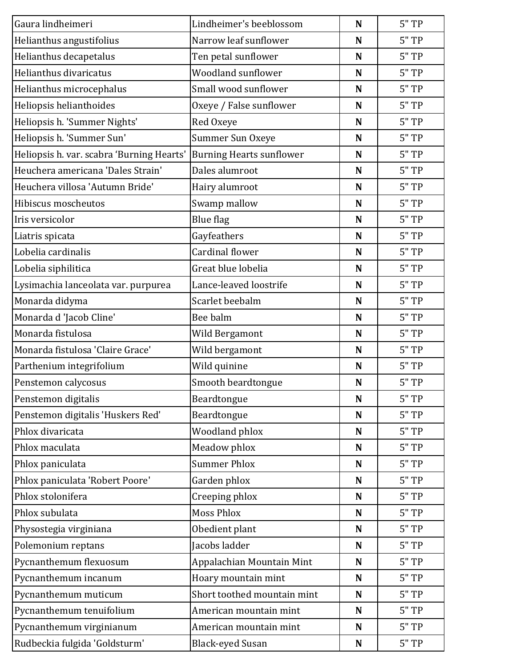| Gaura lindheimeri                         | Lindheimer's beeblossom         | N | 5"TP    |
|-------------------------------------------|---------------------------------|---|---------|
| Helianthus angustifolius                  | Narrow leaf sunflower           | N | 5"TP    |
| Helianthus decapetalus                    | Ten petal sunflower             | N | 5"TP    |
| Helianthus divaricatus                    | Woodland sunflower              | N | 5"TP    |
| Helianthus microcephalus                  | Small wood sunflower            | N | 5"TP    |
| Heliopsis helianthoides                   | Oxeye / False sunflower         | N | $5"$ TP |
| Heliopsis h. 'Summer Nights'              | Red Oxeye                       | N | 5"TP    |
| Heliopsis h. 'Summer Sun'                 | Summer Sun Oxeye                | N | 5"TP    |
| Heliopsis h. var. scabra 'Burning Hearts' | <b>Burning Hearts sunflower</b> | N | 5"TP    |
| Heuchera americana 'Dales Strain'         | Dales alumroot                  | N | 5"TP    |
| Heuchera villosa 'Autumn Bride'           | Hairy alumroot                  | N | 5"TP    |
| Hibiscus moscheutos                       | Swamp mallow                    | N | 5"TP    |
| Iris versicolor                           | <b>Blue flag</b>                | N | 5"TP    |
| Liatris spicata                           | Gayfeathers                     | N | 5"TP    |
| Lobelia cardinalis                        | <b>Cardinal flower</b>          | N | 5"TP    |
| Lobelia siphilitica                       | Great blue lobelia              | N | 5"TP    |
| Lysimachia lanceolata var. purpurea       | Lance-leaved loostrife          | N | 5"TP    |
| Monarda didyma                            | Scarlet beebalm                 | N | $5"$ TP |
| Monarda d'Jacob Cline'                    | Bee balm                        | N | 5"TP    |
| Monarda fistulosa                         | Wild Bergamont                  | N | 5"TP    |
| Monarda fistulosa 'Claire Grace'          | Wild bergamont                  | N | 5"TP    |
| Parthenium integrifolium                  | Wild quinine                    | N | 5"TP    |
| Penstemon calycosus                       | Smooth beardtongue              | N | $5"$ TP |
| Penstemon digitalis                       | Beardtongue                     | N | 5"TP    |
| Penstemon digitalis 'Huskers Red'         | Beardtongue                     | N | 5"TP    |
| Phlox divaricata                          | Woodland phlox                  | N | 5"TP    |
| Phlox maculata                            | Meadow phlox                    | N | 5"TP    |
| Phlox paniculata                          | <b>Summer Phlox</b>             | N | 5"TP    |
| Phlox paniculata 'Robert Poore'           | Garden phlox                    | N | 5"TP    |
| Phlox stolonifera                         | Creeping phlox                  | N | 5"TP    |
| Phlox subulata                            | <b>Moss Phlox</b>               | N | 5"TP    |
| Physostegia virginiana                    | Obedient plant                  | N | 5"TP    |
| Polemonium reptans                        | Jacobs ladder                   | N | $5"$ TP |
| Pycnanthemum flexuosum                    | Appalachian Mountain Mint       | N | 5"TP    |
| Pycnanthemum incanum                      | Hoary mountain mint             | N | 5"TP    |
| Pycnanthemum muticum                      | Short toothed mountain mint     | N | 5"TP    |
| Pycnanthemum tenuifolium                  | American mountain mint          | N | $5"$ TP |
| Pycnanthemum virginianum                  | American mountain mint          | N | 5"TP    |
| Rudbeckia fulgida 'Goldsturm'             | <b>Black-eyed Susan</b>         | N | 5"TP    |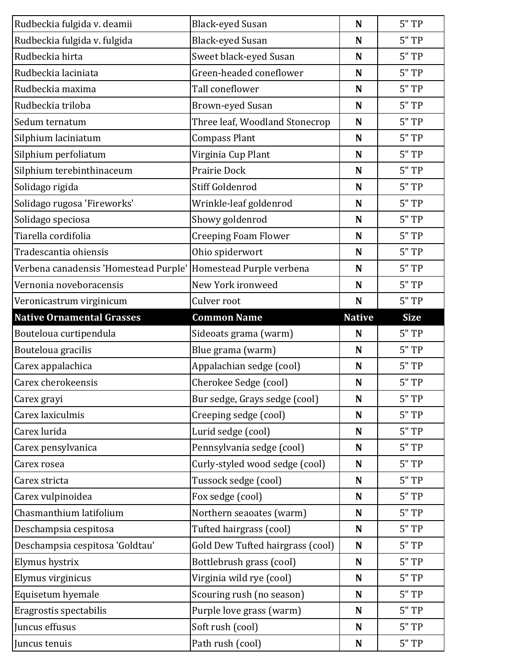| Rudbeckia fulgida v. deamii           | <b>Black-eyed Susan</b>          | N             | 5"TP        |
|---------------------------------------|----------------------------------|---------------|-------------|
| Rudbeckia fulgida v. fulgida          | <b>Black-eyed Susan</b>          | N             | 5"TP        |
| Rudbeckia hirta                       | Sweet black-eyed Susan           | N             | 5"TP        |
| Rudbeckia laciniata                   | Green-headed coneflower          | N             | $5"$ TP     |
| Rudbeckia maxima                      | Tall coneflower                  | N             | 5"TP        |
| Rudbeckia triloba                     | <b>Brown-eyed Susan</b>          | N             | 5"TP        |
| Sedum ternatum                        | Three leaf, Woodland Stonecrop   | N             | 5"TP        |
| Silphium laciniatum                   | <b>Compass Plant</b>             | N             | 5"TP        |
| Silphium perfoliatum                  | Virginia Cup Plant               | N             | 5"TP        |
| Silphium terebinthinaceum             | Prairie Dock                     | N             | $5"$ TP     |
| Solidago rigida                       | Stiff Goldenrod                  | N             | 5"TP        |
| Solidago rugosa 'Fireworks'           | Wrinkle-leaf goldenrod           | N             | 5"TP        |
| Solidago speciosa                     | Showy goldenrod                  | N             | $5"$ TP     |
| Tiarella cordifolia                   | <b>Creeping Foam Flower</b>      | N             | 5"TP        |
| Tradescantia ohiensis                 | Ohio spiderwort                  | N             | 5"TP        |
| Verbena canadensis 'Homestead Purple' | Homestead Purple verbena         | N             | 5"TP        |
| Vernonia noveboracensis               | New York ironweed                | N             | 5"TP        |
| Veronicastrum virginicum              | Culver root                      | N             | 5"TP        |
| <b>Native Ornamental Grasses</b>      | <b>Common Name</b>               | <b>Native</b> | <b>Size</b> |
|                                       |                                  |               |             |
| Bouteloua curtipendula                | Sideoats grama (warm)            | N             | 5"TP        |
| Bouteloua gracilis                    | Blue grama (warm)                | N             | 5"TP        |
| Carex appalachica                     | Appalachian sedge (cool)         | N             | 5"TP        |
| Carex cherokeensis                    | Cherokee Sedge (cool)            | N             | 5"TP        |
| Carex grayi                           | Bur sedge, Grays sedge (cool)    | N             | 5"TP        |
| Carex laxiculmis                      | Creeping sedge (cool)            | N             | 5"TP        |
| Carex lurida                          | Lurid sedge (cool)               | N             | 5"TP        |
| Carex pensylvanica                    | Pennsylvania sedge (cool)        | N             | 5"TP        |
| Carex rosea                           | Curly-styled wood sedge (cool)   | N             | 5"TP        |
| Carex stricta                         | Tussock sedge (cool)             | N             | 5"TP        |
| Carex vulpinoidea                     | Fox sedge (cool)                 | N             | 5"TP        |
| Chasmanthium latifolium               | Northern seaoates (warm)         | N             | 5"TP        |
| Deschampsia cespitosa                 | Tufted hairgrass (cool)          | N             | 5"TP        |
| Deschampsia cespitosa 'Goldtau'       | Gold Dew Tufted hairgrass (cool) | $\mathbf N$   | $5"$ TP     |
| Elymus hystrix                        | Bottlebrush grass (cool)         | N             | 5"TP        |
| Elymus virginicus                     | Virginia wild rye (cool)         | N             | 5"TP        |
| Equisetum hyemale                     | Scouring rush (no season)        | N             | 5"TP        |
| Eragrostis spectabilis                | Purple love grass (warm)         | N             | $5"$ TP     |
| Juncus effusus                        | Soft rush (cool)                 | N             | 5"TP        |